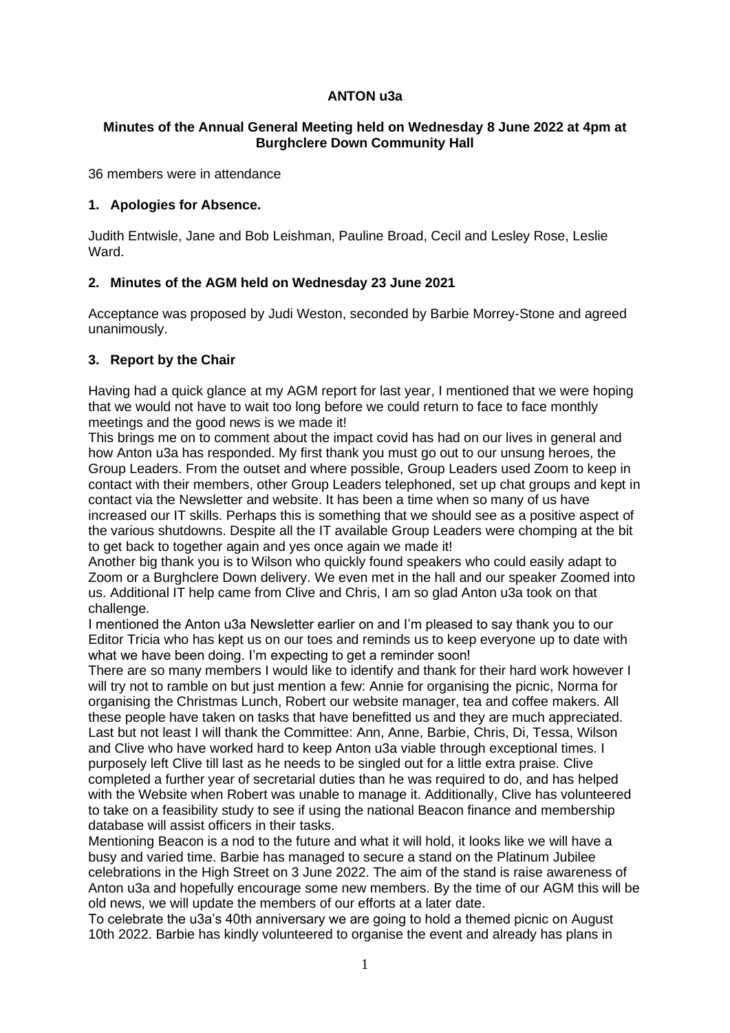# **ANTON u3a**

## **Minutes of the Annual General Meeting held on Wednesday 8 June 2022 at 4pm at Burghclere Down Community Hall**

36 members were in attendance

# **1. Apologies for Absence.**

Judith Entwisle, Jane and Bob Leishman, Pauline Broad, Cecil and Lesley Rose, Leslie Ward.

# **2. Minutes of the AGM held on Wednesday 23 June 2021**

Acceptance was proposed by Judi Weston, seconded by Barbie Morrey-Stone and agreed unanimously.

# **3. Report by the Chair**

Having had a quick glance at my AGM report for last year, I mentioned that we were hoping that we would not have to wait too long before we could return to face to face monthly meetings and the good news is we made it!

This brings me on to comment about the impact covid has had on our lives in general and how Anton u3a has responded. My first thank you must go out to our unsung heroes, the Group Leaders. From the outset and where possible, Group Leaders used Zoom to keep in contact with their members, other Group Leaders telephoned, set up chat groups and kept in contact via the Newsletter and website. It has been a time when so many of us have increased our IT skills. Perhaps this is something that we should see as a positive aspect of the various shutdowns. Despite all the IT available Group Leaders were chomping at the bit to get back to together again and yes once again we made it!

Another big thank you is to Wilson who quickly found speakers who could easily adapt to Zoom or a Burghclere Down delivery. We even met in the hall and our speaker Zoomed into us. Additional IT help came from Clive and Chris, I am so glad Anton u3a took on that challenge.

I mentioned the Anton u3a Newsletter earlier on and I'm pleased to say thank you to our Editor Tricia who has kept us on our toes and reminds us to keep everyone up to date with what we have been doing. I'm expecting to get a reminder soon!

There are so many members I would like to identify and thank for their hard work however I will try not to ramble on but just mention a few: Annie for organising the picnic, Norma for organising the Christmas Lunch, Robert our website manager, tea and coffee makers. All these people have taken on tasks that have benefitted us and they are much appreciated. Last but not least I will thank the Committee: Ann, Anne, Barbie, Chris, Di, Tessa, Wilson and Clive who have worked hard to keep Anton u3a viable through exceptional times. I purposely left Clive till last as he needs to be singled out for a little extra praise. Clive completed a further year of secretarial duties than he was required to do, and has helped with the Website when Robert was unable to manage it. Additionally, Clive has volunteered to take on a feasibility study to see if using the national Beacon finance and membership database will assist officers in their tasks.

Mentioning Beacon is a nod to the future and what it will hold, it looks like we will have a busy and varied time. Barbie has managed to secure a stand on the Platinum Jubilee celebrations in the High Street on 3 June 2022. The aim of the stand is raise awareness of Anton u3a and hopefully encourage some new members. By the time of our AGM this will be old news, we will update the members of our efforts at a later date.

To celebrate the u3a's 40th anniversary we are going to hold a themed picnic on August 10th 2022. Barbie has kindly volunteered to organise the event and already has plans in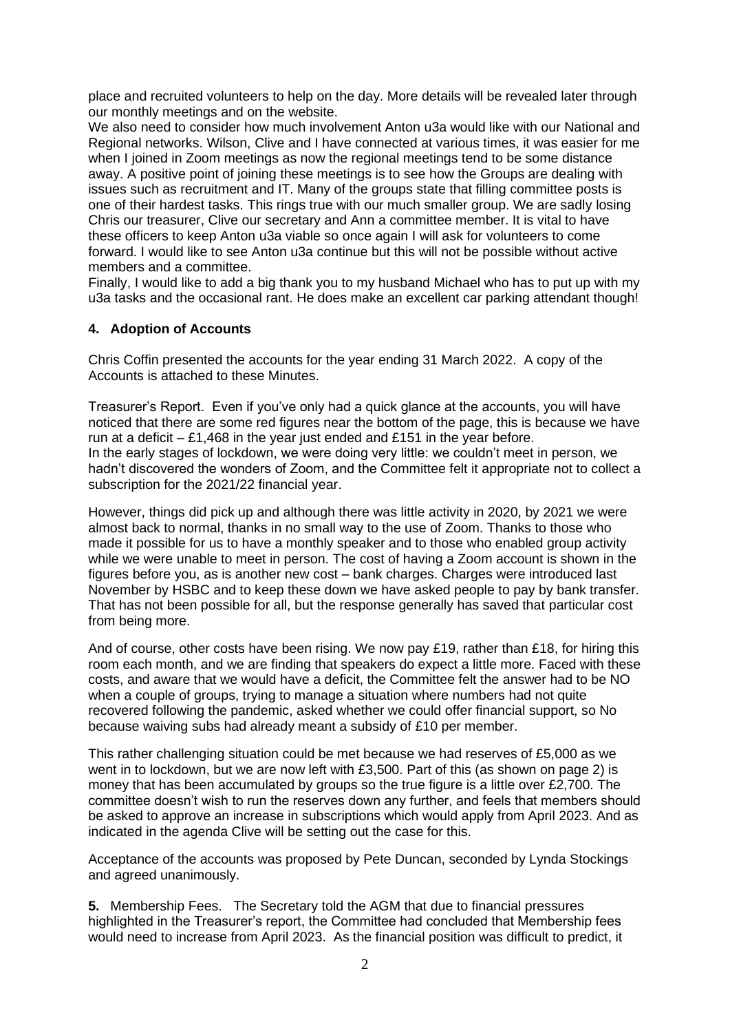place and recruited volunteers to help on the day. More details will be revealed later through our monthly meetings and on the website.

We also need to consider how much involvement Anton u3a would like with our National and Regional networks. Wilson, Clive and I have connected at various times, it was easier for me when I joined in Zoom meetings as now the regional meetings tend to be some distance away. A positive point of joining these meetings is to see how the Groups are dealing with issues such as recruitment and IT. Many of the groups state that filling committee posts is one of their hardest tasks. This rings true with our much smaller group. We are sadly losing Chris our treasurer, Clive our secretary and Ann a committee member. It is vital to have these officers to keep Anton u3a viable so once again I will ask for volunteers to come forward. I would like to see Anton u3a continue but this will not be possible without active members and a committee.

Finally, I would like to add a big thank you to my husband Michael who has to put up with my u3a tasks and the occasional rant. He does make an excellent car parking attendant though!

### **4. Adoption of Accounts**

Chris Coffin presented the accounts for the year ending 31 March 2022. A copy of the Accounts is attached to these Minutes.

Treasurer's Report. Even if you've only had a quick glance at the accounts, you will have noticed that there are some red figures near the bottom of the page, this is because we have run at a deficit – £1,468 in the year just ended and £151 in the year before. In the early stages of lockdown, we were doing very little: we couldn't meet in person, we hadn't discovered the wonders of Zoom, and the Committee felt it appropriate not to collect a subscription for the 2021/22 financial year.

However, things did pick up and although there was little activity in 2020, by 2021 we were almost back to normal, thanks in no small way to the use of Zoom. Thanks to those who made it possible for us to have a monthly speaker and to those who enabled group activity while we were unable to meet in person. The cost of having a Zoom account is shown in the figures before you, as is another new cost – bank charges. Charges were introduced last November by HSBC and to keep these down we have asked people to pay by bank transfer. That has not been possible for all, but the response generally has saved that particular cost from being more.

And of course, other costs have been rising. We now pay £19, rather than £18, for hiring this room each month, and we are finding that speakers do expect a little more. Faced with these costs, and aware that we would have a deficit, the Committee felt the answer had to be NO when a couple of groups, trying to manage a situation where numbers had not quite recovered following the pandemic, asked whether we could offer financial support, so No because waiving subs had already meant a subsidy of £10 per member.

This rather challenging situation could be met because we had reserves of £5,000 as we went in to lockdown, but we are now left with £3,500. Part of this (as shown on page 2) is money that has been accumulated by groups so the true figure is a little over £2,700. The committee doesn't wish to run the reserves down any further, and feels that members should be asked to approve an increase in subscriptions which would apply from April 2023. And as indicated in the agenda Clive will be setting out the case for this.

Acceptance of the accounts was proposed by Pete Duncan, seconded by Lynda Stockings and agreed unanimously.

**5.** Membership Fees. The Secretary told the AGM that due to financial pressures highlighted in the Treasurer's report, the Committee had concluded that Membership fees would need to increase from April 2023. As the financial position was difficult to predict, it